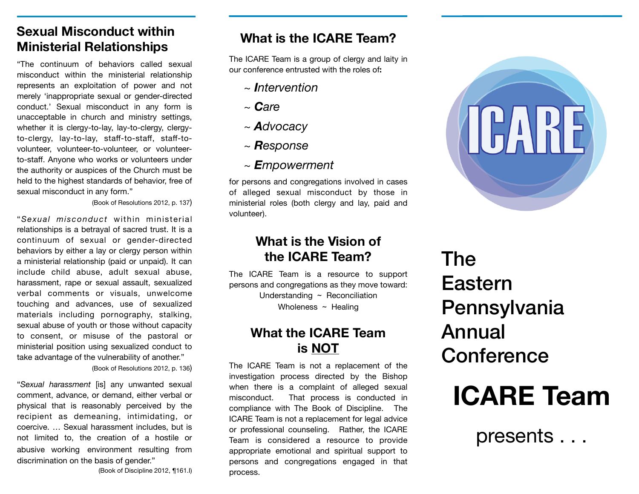# **Sexual Misconduct within Ministerial Relationships**

"The continuum of behaviors called sexual misconduct within the ministerial relationship represents an exploitation of power and not merely 'inappropriate sexual or gender-directed conduct.' Sexual misconduct in any form is unacceptable in church and ministry settings, whether it is clergy-to-lay, lay-to-clergy, clergyto-clergy, lay-to-lay, staff-to-staff, staff-tovolunteer, volunteer-to-volunteer, or volunteerto-staff. Anyone who works or volunteers under the authority or auspices of the Church must be held to the highest standards of behavior, free of sexual misconduct in any form."

(Book of Resolutions 2012, p. 137)

"*Sexual misconduct* within ministerial relationships is a betrayal of sacred trust. It is a continuum of sexual or gender-directed behaviors by either a lay or clergy person within a ministerial relationship (paid or unpaid). It can include child abuse, adult sexual abuse, harassment, rape or sexual assault, sexualized verbal comments or visuals, unwelcome touching and advances, use of sexualized materials including pornography, stalking, sexual abuse of youth or those without capacity to consent, or misuse of the pastoral or ministerial position using sexualized conduct to take advantage of the vulnerability of another."

(Book of Resolutions 2012, p. 136)

"*Sexual harassment* [is] any unwanted sexual comment, advance, or demand, either verbal or physical that is reasonably perceived by the recipient as demeaning, intimidating, or coercive. … Sexual harassment includes, but is not limited to, the creation of a hostile or abusive working environment resulting from discrimination on the basis of gender."

(Book of Discipline 2012, ¶161.I)

# **What is the ICARE Team?**

The ICARE Team is a group of clergy and laity in our conference entrusted with the roles of**:** 

- *~ Intervention*
- *~ Care*
- *~ Advocacy*
- *~ Response*
- *~ Empowerment*

for persons and congregations involved in cases of alleged sexual misconduct by those in ministerial roles (both clergy and lay, paid and volunteer).

## **What is the Vision of the ICARE Team?**

The ICARE Team is a resource to support persons and congregations as they move toward: Understanding ~ Reconciliation Wholeness ~ Healing

# **What the ICARE Team is NOT**

The ICARE Team is not a replacement of the investigation process directed by the Bishop when there is a complaint of alleged sexual misconduct. That process is conducted in compliance with The Book of Discipline. The ICARE Team is not a replacement for legal advice or professional counseling. Rather, the ICARE Team is considered a resource to provide appropriate emotional and spiritual support to persons and congregations engaged in that process.



# The Eastern Pennsylvania Annual **Conference**



presents . . .